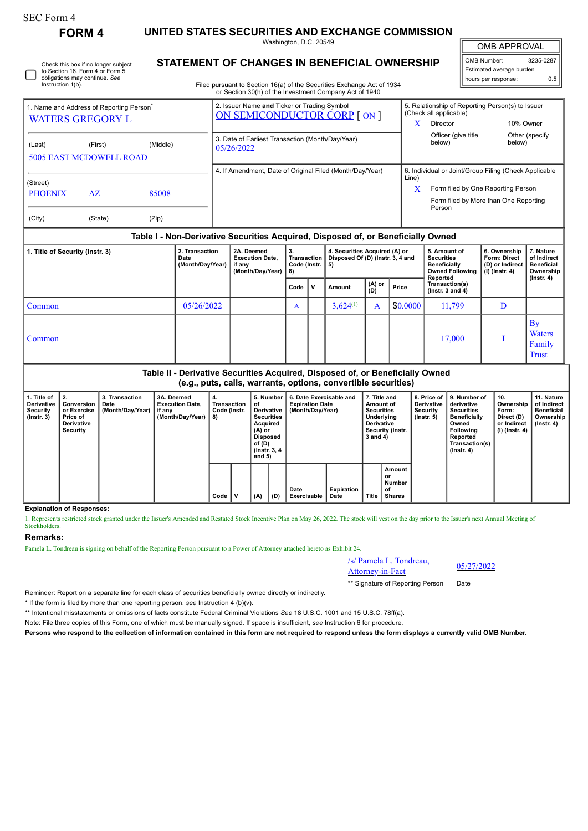# SEC Form 4

**FORM 4 UNITED STATES SECURITIES AND EXCHANGE COMMISSION** Washington, D.C. 20549

OMB APPROVAL

 $\mathbb{I}$ 

| OMB Number:              | 3235-0287 |  |  |  |  |  |  |  |
|--------------------------|-----------|--|--|--|--|--|--|--|
| Estimated average burden |           |  |  |  |  |  |  |  |
| hours per response:      | 0.5       |  |  |  |  |  |  |  |

**STATEMENT OF CHANGES IN BENEFICIAL OWNERSHIP**

Filed pursuant to Section 16(a) of the Securities Exchange Act of 1934 or Section 30(h) of the Investment Company Act of 1940

|                                                                                 | OF OCCIDITIONITY OF LITC INTEGRATION, OUTILIARLY ACLIOF TO TO               |                                                                                                                                                    |
|---------------------------------------------------------------------------------|-----------------------------------------------------------------------------|----------------------------------------------------------------------------------------------------------------------------------------------------|
| 1. Name and Address of Reporting Person <sup>®</sup><br><b>WATERS GREGORY L</b> | 2. Issuer Name and Ticker or Trading Symbol<br>ON SEMICONDUCTOR CORP [ ON ] | 5. Relationship of Reporting Person(s) to Issuer<br>(Check all applicable)<br>10% Owner<br>Director<br>$\lambda$                                   |
| (Middle)<br>(First)<br>(Last)<br><b>5005 EAST MCDOWELL ROAD</b>                 | 3. Date of Earliest Transaction (Month/Day/Year)<br>05/26/2022              | Officer (give title<br>Other (specify)<br>below)<br>below)                                                                                         |
| (Street)<br><b>PHOENIX</b><br>85008<br>AZ                                       | 4. If Amendment, Date of Original Filed (Month/Day/Year)                    | 6. Individual or Joint/Group Filing (Check Applicable<br>Line)<br>X<br>Form filed by One Reporting Person<br>Form filed by More than One Reporting |
| (City)<br>(State)<br>(Zip)                                                      |                                                                             | Person                                                                                                                                             |

## **Table I - Non-Derivative Securities Acquired, Disposed of, or Beneficially Owned**

| 1. Title of Security (Instr. 3) | 2. Transaction<br>Date<br>(Month/Day/Year) | 2A. Deemed<br><b>Execution Date,</b><br>if any<br>(Month/Day/Year) | 3.<br>Transaction<br>Code (Instr. $\vert 5 \rangle$<br>8) |              | 4. Securities Acquired (A) or<br>Disposed Of (D) (Instr. 3, 4 and |                |          | 5. Amount of<br><b>Securities</b><br><b>Beneficially</b><br><b>Owned Following</b> | 6. Ownership<br><b>Form: Direct</b><br>(D) or Indirect<br>(I) (Instr. 4) | 7. Nature<br>of Indirect<br><b>Beneficial</b><br>Ownership<br>$($ lnstr. 4 $)$ |
|---------------------------------|--------------------------------------------|--------------------------------------------------------------------|-----------------------------------------------------------|--------------|-------------------------------------------------------------------|----------------|----------|------------------------------------------------------------------------------------|--------------------------------------------------------------------------|--------------------------------------------------------------------------------|
|                                 |                                            |                                                                    | Code                                                      | $\mathbf{v}$ | Amount                                                            | $(A)$ or $(D)$ | Price    | Reported<br>Transaction(s)<br>$($ lnstr. $3$ and $4)$                              |                                                                          |                                                                                |
| Common                          | 05/26/2022                                 |                                                                    | A                                                         |              | $3,624^{(1)}$                                                     | A              | \$0.0000 | 11,799                                                                             | D                                                                        |                                                                                |
| Common                          |                                            |                                                                    |                                                           |              |                                                                   |                |          | 17,000                                                                             |                                                                          | $\mathbf{B}$ y<br><b>Waters</b><br>Family<br><b>Trust</b>                      |

## **Table II - Derivative Securities Acquired, Disposed of, or Beneficially Owned (e.g., puts, calls, warrants, options, convertible securities)**

| l. Title of<br><b>Derivative</b><br>Security<br>$($ lnstr. 3 $)$ | Conversion<br>or Exercise<br><b>Price of</b><br>Derivative<br>Security | 3. Transaction<br>Date<br>(Month/Day/Year) | 3A. Deemed<br><b>Execution Date.</b><br>, if any<br>(Month/Day/Year) | 4.<br>Transaction<br>Code (Instr.<br>8) |      | 5. Number<br>οf<br>Derivative<br><b>Securities</b><br>Acquired<br>(A) or<br>Disposed<br>of (D)<br>(Instr. 3, 4)<br>and $5)$ |     | 6. Date Exercisable and<br><b>Expiration Date</b><br>(Month/Day/Year) |                     | 7. Title and<br>Amount of<br><b>Securities</b><br>Underlying<br><b>Derivative</b><br>Security (Instr.<br>3 and 4) |       | 8. Price of<br><b>Derivative</b><br>Security<br>$($ Instr. 5 $)$ | 9. Number of<br>derivative<br><b>Securities</b><br><b>Beneficially</b><br>Owned<br><b>Following</b><br>Reported<br>Transaction(s)<br>$($ lnstr. 4 $)$ | 10.<br>Ownership<br>Form:<br>Direct (D)<br>or Indirect<br>(I) (Instr. 4) | 11. Nature<br>of Indirect<br>Beneficial<br>Ownership<br>$($ lnstr. 4 $)$ |
|------------------------------------------------------------------|------------------------------------------------------------------------|--------------------------------------------|----------------------------------------------------------------------|-----------------------------------------|------|-----------------------------------------------------------------------------------------------------------------------------|-----|-----------------------------------------------------------------------|---------------------|-------------------------------------------------------------------------------------------------------------------|-------|------------------------------------------------------------------|-------------------------------------------------------------------------------------------------------------------------------------------------------|--------------------------------------------------------------------------|--------------------------------------------------------------------------|
|                                                                  |                                                                        |                                            |                                                                      |                                         | Code |                                                                                                                             | (A) | (D                                                                    | Date<br>Exercisable | <b>Expiration</b><br>Date                                                                                         | Title | Amount<br>or<br><b>Number</b><br>οf<br>Shares                    |                                                                                                                                                       |                                                                          |                                                                          |

#### **Explanation of Responses:**

1. Represents restricted stock granted under the Issuer's Amended and Restated Stock Incentive Plan on May 26, 2022. The stock will vest on the day prior to the Issuer's next Annual Meeting of Stockholders.

### **Remarks:**

Pamela L. Tondreau is signing on behalf of the Reporting Person pursuant to a Power of Attorney attached hereto as Exhibit 24.

# /s/ Pamela L. Tondreau,  $\frac{8}{9}$  Pamela L. Tongreau,  $\frac{05}{27/2022}$

\*\* Signature of Reporting Person Date

Reminder: Report on a separate line for each class of securities beneficially owned directly or indirectly.

\* If the form is filed by more than one reporting person, *see* Instruction 4 (b)(v).

\*\* Intentional misstatements or omissions of facts constitute Federal Criminal Violations *See* 18 U.S.C. 1001 and 15 U.S.C. 78ff(a).

Note: File three copies of this Form, one of which must be manually signed. If space is insufficient, *see* Instruction 6 for procedure.

**Persons who respond to the collection of information contained in this form are not required to respond unless the form displays a currently valid OMB Number.**

Check this box if no longer subject to Section 16. Form 4 or Form 5 obligations may continue. *See* Instruction 1(b).